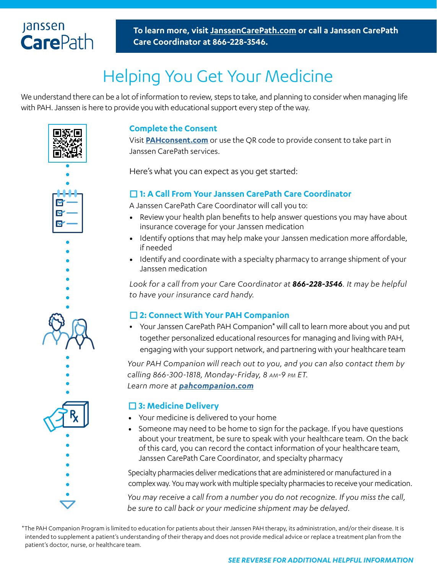### **Janssen CarePath**

**To learn more, visit [JanssenCarePath.com](https://www.janssencarepath.com) or call a Janssen CarePath Care Coordinator at 866-228-3546.**

# Helping You Get Your Medicine

We understand there can be a lot of information to review, steps to take, and planning to consider when managing life with PAH. Janssen is here to provide you with educational support every step of the way.





#### **Complete the Consent**

Visit **[PAHconsent.com](https://pah.ehipaa.com/)** or use the QR code to provide consent to take part in Janssen CarePath services.

Here's what you can expect as you get started:

#### **1: A Call From Your Janssen CarePath Care Coordinator**

A Janssen CarePath Care Coordinator will call you to:

- Review your health plan benefits to help answer questions you may have about insurance coverage for your Janssen medication
- Identify options that may help make your Janssen medication more affordable, if needed
- Identify and coordinate with a specialty pharmacy to arrange shipment of your Janssen medication

*Look for a call from your Care Coordinator at 866-228-3546. It may be helpful to have your insurance card handy.*

#### **2: Connect With Your PAH Companion**

**•** Your Janssen CarePath PAH Companion\* will call to learn more about you and put together personalized educational resources for managing and living with PAH, engaging with your support network, and partnering with your healthcare team

*Your PAH Companion will reach out to you, and you can also contact them by calling 866-300-1818, Monday-Friday, 8 am-9 pm ET. Learn more at [pahcompanion.com](http://pahcompanion.com)*

#### **3: Medicine Delivery**

- Your medicine is delivered to your home
- Someone may need to be home to sign for the package. If you have questions about your treatment, be sure to speak with your healthcare team. On the back of this card, you can record the contact information of your healthcare team, Janssen CarePath Care Coordinator, and specialty pharmacy

Specialty pharmacies deliver medications that are administered or manufactured in a complex way. You may work with multiple specialty pharmacies to receive your medication.

*You may receive a call from a number you do not recognize. If you miss the call, be sure to call back or your medicine shipment may be delayed.*

\*The PAH Companion Program is limited to education for patients about their Janssen PAH therapy, its administration, and/or their disease. It is intended to supplement a patient's understanding of their therapy and does not provide medical advice or replace a treatment plan from the patient's doctor, nurse, or healthcare team.